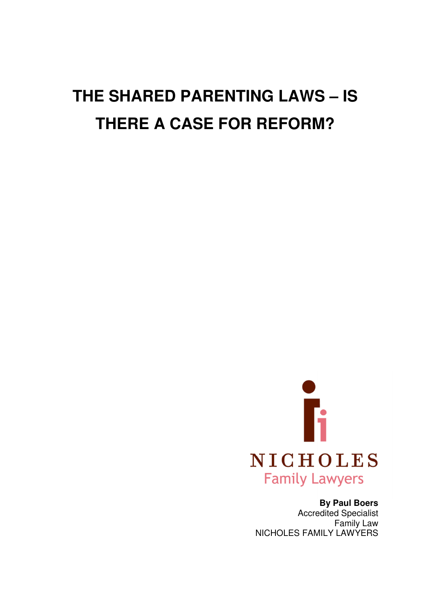# **THE SHARED PARENTING LAWS – IS THERE A CASE FOR REFORM?**



**By Paul Boers**  Accredited Specialist Family Law NICHOLES FAMILY LAWYERS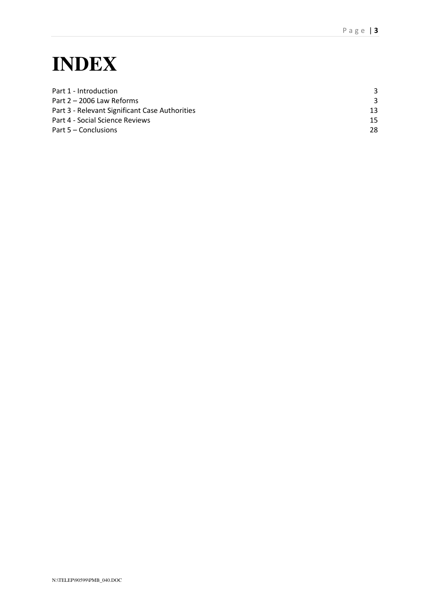# **INDEX**

| Part 1 - Introduction                          | २  |
|------------------------------------------------|----|
| Part 2 – 2006 Law Reforms                      | 3  |
| Part 3 - Relevant Significant Case Authorities | 13 |
| Part 4 - Social Science Reviews                | 15 |
| Part 5 – Conclusions                           | 28 |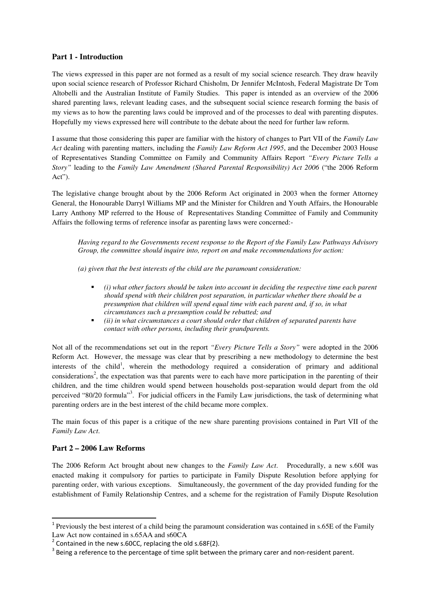# **Part 1 - Introduction**

The views expressed in this paper are not formed as a result of my social science research. They draw heavily upon social science research of Professor Richard Chisholm, Dr Jennifer McIntosh, Federal Magistrate Dr Tom Altobelli and the Australian Institute of Family Studies. This paper is intended as an overview of the 2006 shared parenting laws, relevant leading cases, and the subsequent social science research forming the basis of my views as to how the parenting laws could be improved and of the processes to deal with parenting disputes. Hopefully my views expressed here will contribute to the debate about the need for further law reform.

I assume that those considering this paper are familiar with the history of changes to Part VII of the *Family Law Act* dealing with parenting matters, including the *Family Law Reform Act 1995*, and the December 2003 House of Representatives Standing Committee on Family and Community Affairs Report *"Every Picture Tells a Story"* leading to the *Family Law Amendment (Shared Parental Responsibility) Act 2006* ("the 2006 Reform Act").

The legislative change brought about by the 2006 Reform Act originated in 2003 when the former Attorney General, the Honourable Darryl Williams MP and the Minister for Children and Youth Affairs, the Honourable Larry Anthony MP referred to the House of Representatives Standing Committee of Family and Community Affairs the following terms of reference insofar as parenting laws were concerned:-

*Having regard to the Governments recent response to the Report of the Family Law Pathways Advisory Group, the committee should inquire into, report on and make recommendations for action:* 

*(a) given that the best interests of the child are the paramount consideration:* 

- *(i) what other factors should be taken into account in deciding the respective time each parent should spend with their children post separation, in particular whether there should be a presumption that children will spend equal time with each parent and, if so, in what circumstances such a presumption could be rebutted; and*
- *(ii) in what circumstances a court should order that children of separated parents have contact with other persons, including their grandparents.*

Not all of the recommendations set out in the report *"Every Picture Tells a Story"* were adopted in the 2006 Reform Act. However, the message was clear that by prescribing a new methodology to determine the best interests of the child<sup>1</sup>, wherein the methodology required a consideration of primary and additional considerations<sup>2</sup>, the expectation was that parents were to each have more participation in the parenting of their children, and the time children would spend between households post-separation would depart from the old perceived "80/20 formula"<sup>3</sup>. For judicial officers in the Family Law jurisdictions, the task of determining what parenting orders are in the best interest of the child became more complex.

The main focus of this paper is a critique of the new share parenting provisions contained in Part VII of the *Family Law Act*.

# **Part 2 – 2006 Law Reforms**

l

The 2006 Reform Act brought about new changes to the *Family Law Act*. Procedurally, a new s.60I was enacted making it compulsory for parties to participate in Family Dispute Resolution before applying for parenting order, with various exceptions. Simultaneously, the government of the day provided funding for the establishment of Family Relationship Centres, and a scheme for the registration of Family Dispute Resolution

<sup>&</sup>lt;sup>1</sup> Previously the best interest of a child being the paramount consideration was contained in s.65E of the Family Law Act now contained in s.65AA and s60CA

<sup>&</sup>lt;sup>2</sup> Contained in the new s.60CC, replacing the old s.68F(2).

 $3$  Being a reference to the percentage of time split between the primary carer and non-resident parent.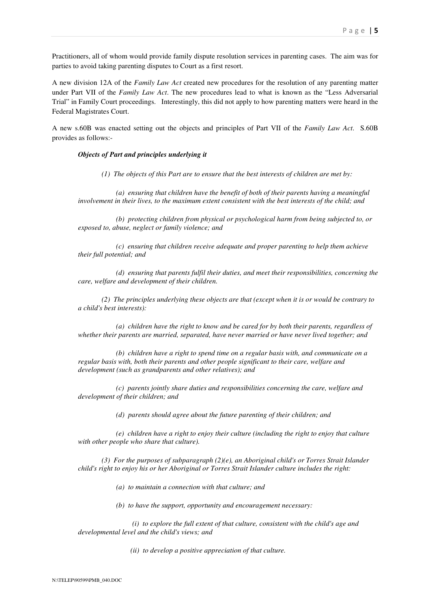Practitioners, all of whom would provide family dispute resolution services in parenting cases. The aim was for parties to avoid taking parenting disputes to Court as a first resort.

A new division 12A of the *Family Law Act* created new procedures for the resolution of any parenting matter under Part VII of the *Family Law Act*. The new procedures lead to what is known as the "Less Adversarial Trial" in Family Court proceedings. Interestingly, this did not apply to how parenting matters were heard in the Federal Magistrates Court.

A new s.60B was enacted setting out the objects and principles of Part VII of the *Family Law Act*. S.60B provides as follows:-

#### *Objects of Part and principles underlying it*

 *(1) The objects of this Part are to ensure that the best interests of children are met by:* 

 *(a) ensuring that children have the benefit of both of their parents having a meaningful involvement in their lives, to the maximum extent consistent with the best interests of the child; and* 

 *(b) protecting children from physical or psychological harm from being subjected to, or exposed to, abuse, neglect or family violence; and* 

 *(c) ensuring that children receive adequate and proper parenting to help them achieve their full potential; and* 

 *(d) ensuring that parents fulfil their duties, and meet their responsibilities, concerning the care, welfare and development of their children.* 

 *(2) The principles underlying these objects are that (except when it is or would be contrary to a child's best interests):* 

 *(a) children have the right to know and be cared for by both their parents, regardless of whether their parents are married, separated, have never married or have never lived together; and* 

 *(b) children have a right to spend time on a regular basis with, and communicate on a regular basis with, both their parents and other people significant to their care, welfare and development (such as grandparents and other relatives); and* 

 *(c) parents jointly share duties and responsibilities concerning the care, welfare and development of their children; and* 

 *(d) parents should agree about the future parenting of their children; and* 

 *(e) children have a right to enjoy their culture (including the right to enjoy that culture with other people who share that culture).* 

 *(3) For the purposes of subparagraph (2)(e), an Aboriginal child's or Torres Strait Islander child's right to enjoy his or her Aboriginal or Torres Strait Islander culture includes the right:* 

 *(a) to maintain a connection with that culture; and* 

 *(b) to have the support, opportunity and encouragement necessary:* 

 *(i) to explore the full extent of that culture, consistent with the child's age and developmental level and the child's views; and* 

 *(ii) to develop a positive appreciation of that culture.*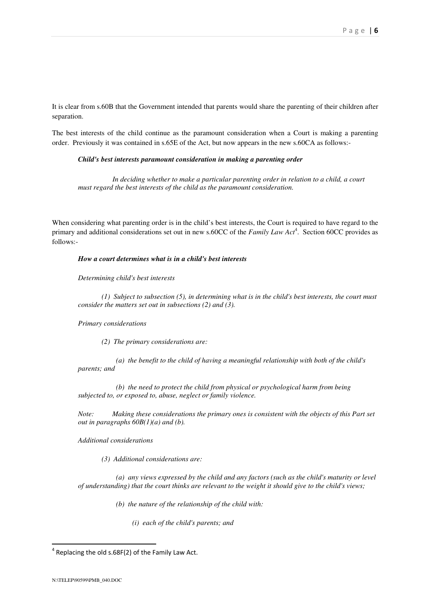It is clear from s.60B that the Government intended that parents would share the parenting of their children after separation.

The best interests of the child continue as the paramount consideration when a Court is making a parenting order. Previously it was contained in s.65E of the Act, but now appears in the new s.60CA as follows:-

#### *Child's best interests paramount consideration in making a parenting order*

 *In deciding whether to make a particular parenting order in relation to a child, a court must regard the best interests of the child as the paramount consideration.* 

When considering what parenting order is in the child's best interests, the Court is required to have regard to the primary and additional considerations set out in new s.60CC of the *Family Law Act*<sup>4</sup>. Section 60CC provides as follows:-

#### *How a court determines what is in a child's best interests*

*Determining child's best interests* 

 *(1) Subject to subsection (5), in determining what is in the child's best interests, the court must consider the matters set out in subsections (2) and (3).* 

*Primary considerations* 

 *(2) The primary considerations are:* 

 *(a) the benefit to the child of having a meaningful relationship with both of the child's parents; and* 

 *(b) the need to protect the child from physical or psychological harm from being subjected to, or exposed to, abuse, neglect or family violence.* 

*Note: Making these considerations the primary ones is consistent with the objects of this Part set out in paragraphs 60B(1)(a) and (b).* 

#### *Additional considerations*

 *(3) Additional considerations are:* 

 *(a) any views expressed by the child and any factors (such as the child's maturity or level of understanding) that the court thinks are relevant to the weight it should give to the child's views;* 

 *(b) the nature of the relationship of the child with:* 

 *(i) each of the child's parents; and* 

 $4$  Replacing the old s.68F(2) of the Family Law Act.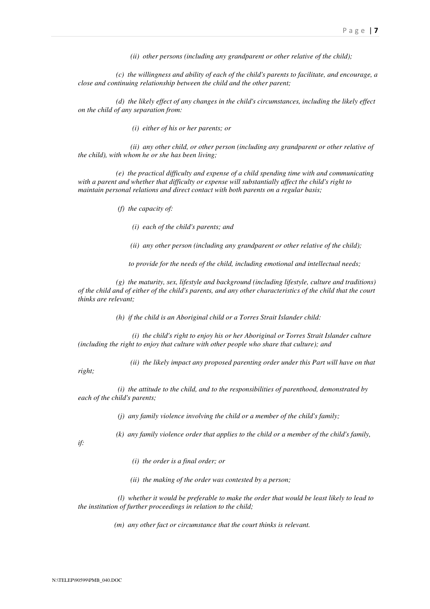*(ii) other persons (including any grandparent or other relative of the child);* 

 *(c) the willingness and ability of each of the child's parents to facilitate, and encourage, a close and continuing relationship between the child and the other parent;* 

 *(d) the likely effect of any changes in the child's circumstances, including the likely effect on the child of any separation from:* 

 *(i) either of his or her parents; or* 

 *(ii) any other child, or other person (including any grandparent or other relative of the child), with whom he or she has been living;* 

 *(e) the practical difficulty and expense of a child spending time with and communicating with a parent and whether that difficulty or expense will substantially affect the child's right to maintain personal relations and direct contact with both parents on a regular basis;* 

 *(f) the capacity of:* 

 *(i) each of the child's parents; and* 

 *(ii) any other person (including any grandparent or other relative of the child);* 

 *to provide for the needs of the child, including emotional and intellectual needs;* 

 *(g) the maturity, sex, lifestyle and background (including lifestyle, culture and traditions) of the child and of either of the child's parents, and any other characteristics of the child that the court thinks are relevant;* 

 *(h) if the child is an Aboriginal child or a Torres Strait Islander child:* 

 *(i) the child's right to enjoy his or her Aboriginal or Torres Strait Islander culture (including the right to enjoy that culture with other people who share that culture); and* 

 *(ii) the likely impact any proposed parenting order under this Part will have on that* 

*right;* 

 *(i) the attitude to the child, and to the responsibilities of parenthood, demonstrated by each of the child's parents;* 

 *(j) any family violence involving the child or a member of the child's family;* 

 *(k) any family violence order that applies to the child or a member of the child's family,* 

*if:* 

 *(i) the order is a final order; or* 

 *(ii) the making of the order was contested by a person;* 

 *(l) whether it would be preferable to make the order that would be least likely to lead to the institution of further proceedings in relation to the child;* 

 *(m) any other fact or circumstance that the court thinks is relevant.*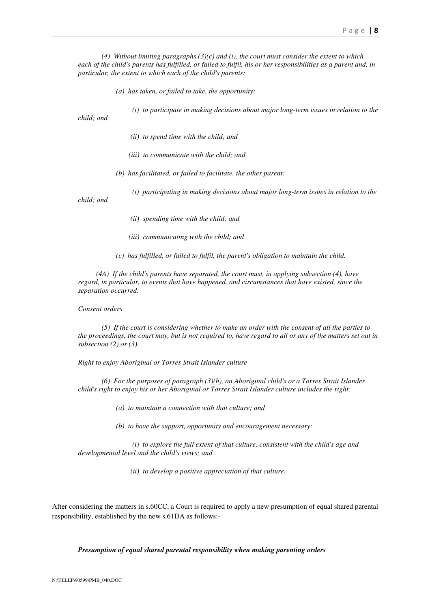*(4) Without limiting paragraphs (3)(c) and (i), the court must consider the extent to which each of the child's parents has fulfilled, or failed to fulfil, his or her responsibilities as a parent and, in particular, the extent to which each of the child's parents:* 

- *(a) has taken, or failed to take, the opportunity:* 
	- *(i) to participate in making decisions about major long-term issues in relation to the*

*child; and* 

- *(ii) to spend time with the child; and*
- *(iii) to communicate with the child; and*
- *(b) has facilitated, or failed to facilitate, the other parent:*
- *(i) participating in making decisions about major long-term issues in relation to the*

*child; and* 

- *(ii) spending time with the child; and*
- *(iii) communicating with the child; and*
- *(c) has fulfilled, or failed to fulfil, the parent's obligation to maintain the child.*

 *(4A) If the child's parents have separated, the court must, in applying subsection (4), have regard, in particular, to events that have happened, and circumstances that have existed, since the separation occurred.* 

#### *Consent orders*

 *(5) If the court is considering whether to make an order with the consent of all the parties to the proceedings, the court may, but is not required to, have regard to all or any of the matters set out in subsection (2) or (3).* 

*Right to enjoy Aboriginal or Torres Strait Islander culture* 

 *(6) For the purposes of paragraph (3)(h), an Aboriginal child's or a Torres Strait Islander child's right to enjoy his or her Aboriginal or Torres Strait Islander culture includes the right:* 

 *(a) to maintain a connection with that culture; and* 

 *(b) to have the support, opportunity and encouragement necessary:* 

 *(i) to explore the full extent of that culture, consistent with the child's age and developmental level and the child's views; and* 

 *(ii) to develop a positive appreciation of that culture.* 

After considering the matters in s.60CC, a Court is required to apply a new presumption of equal shared parental responsibility, established by the new s.61DA as follows:-

## *Presumption of equal shared parental responsibility when making parenting orders*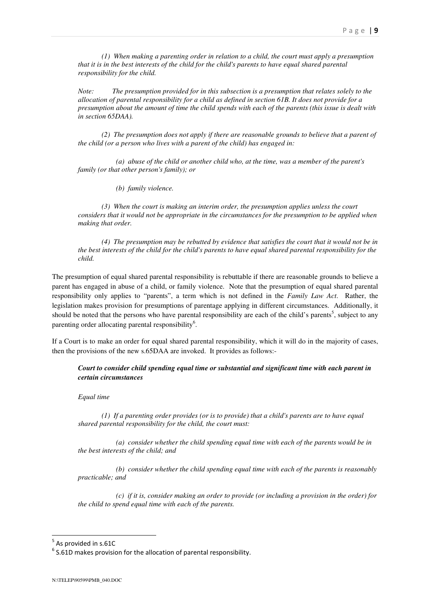*(1) When making a parenting order in relation to a child, the court must apply a presumption that it is in the best interests of the child for the child's parents to have equal shared parental responsibility for the child.* 

*Note: The presumption provided for in this subsection is a presumption that relates solely to the allocation of parental responsibility for a child as defined in section 61B. It does not provide for a presumption about the amount of time the child spends with each of the parents (this issue is dealt with in section 65DAA).* 

 *(2) The presumption does not apply if there are reasonable grounds to believe that a parent of the child (or a person who lives with a parent of the child) has engaged in:* 

 *(a) abuse of the child or another child who, at the time, was a member of the parent's family (or that other person's family); or* 

 *(b) family violence.* 

 *(3) When the court is making an interim order, the presumption applies unless the court considers that it would not be appropriate in the circumstances for the presumption to be applied when making that order.* 

 *(4) The presumption may be rebutted by evidence that satisfies the court that it would not be in the best interests of the child for the child's parents to have equal shared parental responsibility for the child.* 

The presumption of equal shared parental responsibility is rebuttable if there are reasonable grounds to believe a parent has engaged in abuse of a child, or family violence. Note that the presumption of equal shared parental responsibility only applies to "parents", a term which is not defined in the *Family Law Act*. Rather, the legislation makes provision for presumptions of parentage applying in different circumstances. Additionally, it should be noted that the persons who have parental responsibility are each of the child's parents<sup>5</sup>, subject to any parenting order allocating parental responsibility<sup>6</sup>.

If a Court is to make an order for equal shared parental responsibility, which it will do in the majority of cases, then the provisions of the new s.65DAA are invoked. It provides as follows:-

*Court to consider child spending equal time or substantial and significant time with each parent in certain circumstances* 

*Equal time* 

 *(1) If a parenting order provides (or is to provide) that a child's parents are to have equal shared parental responsibility for the child, the court must:* 

 *(a) consider whether the child spending equal time with each of the parents would be in the best interests of the child; and* 

 *(b) consider whether the child spending equal time with each of the parents is reasonably practicable; and* 

 *(c) if it is, consider making an order to provide (or including a provision in the order) for the child to spend equal time with each of the parents.* 

l

 $<sup>5</sup>$  As provided in s.61C</sup>

 $6$  S.61D makes provision for the allocation of parental responsibility.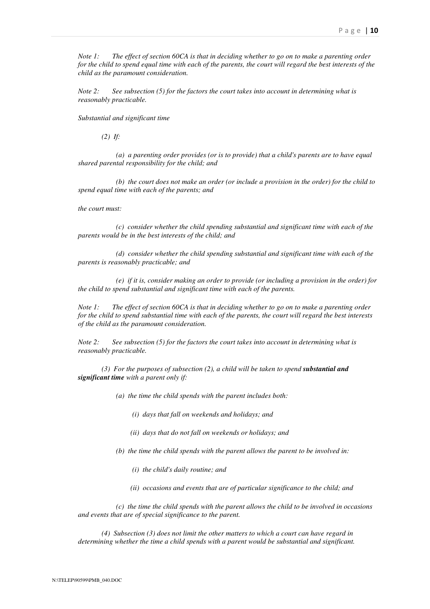*Note 1: The effect of section 60CA is that in deciding whether to go on to make a parenting order for the child to spend equal time with each of the parents, the court will regard the best interests of the child as the paramount consideration.* 

*Note 2: See subsection (5) for the factors the court takes into account in determining what is reasonably practicable.* 

*Substantial and significant time* 

 *(2) If:* 

 *(a) a parenting order provides (or is to provide) that a child's parents are to have equal shared parental responsibility for the child; and* 

 *(b) the court does not make an order (or include a provision in the order) for the child to spend equal time with each of the parents; and* 

*the court must:* 

 *(c) consider whether the child spending substantial and significant time with each of the parents would be in the best interests of the child; and* 

 *(d) consider whether the child spending substantial and significant time with each of the parents is reasonably practicable; and* 

 *(e) if it is, consider making an order to provide (or including a provision in the order) for the child to spend substantial and significant time with each of the parents.* 

*Note 1: The effect of section 60CA is that in deciding whether to go on to make a parenting order for the child to spend substantial time with each of the parents, the court will regard the best interests of the child as the paramount consideration.* 

*Note 2: See subsection (5) for the factors the court takes into account in determining what is reasonably practicable.* 

 *(3) For the purposes of subsection (2), a child will be taken to spend substantial and significant time with a parent only if:* 

 *(a) the time the child spends with the parent includes both:* 

 *(i) days that fall on weekends and holidays; and* 

 *(ii) days that do not fall on weekends or holidays; and* 

 *(b) the time the child spends with the parent allows the parent to be involved in:* 

 *(i) the child's daily routine; and* 

 *(ii) occasions and events that are of particular significance to the child; and* 

 *(c) the time the child spends with the parent allows the child to be involved in occasions and events that are of special significance to the parent.* 

 *(4) Subsection (3) does not limit the other matters to which a court can have regard in determining whether the time a child spends with a parent would be substantial and significant.*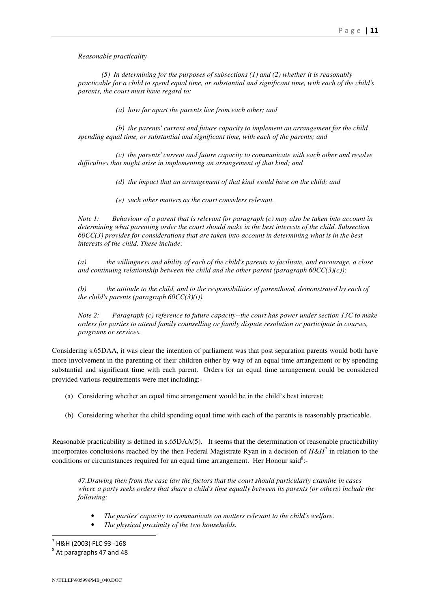*Reasonable practicality* 

 *(5) In determining for the purposes of subsections (1) and (2) whether it is reasonably practicable for a child to spend equal time, or substantial and significant time, with each of the child's parents, the court must have regard to:* 

 *(a) how far apart the parents live from each other; and* 

 *(b) the parents' current and future capacity to implement an arrangement for the child spending equal time, or substantial and significant time, with each of the parents; and* 

 *(c) the parents' current and future capacity to communicate with each other and resolve difficulties that might arise in implementing an arrangement of that kind; and* 

 *(d) the impact that an arrangement of that kind would have on the child; and* 

 *(e) such other matters as the court considers relevant.* 

*Note 1: Behaviour of a parent that is relevant for paragraph (c) may also be taken into account in determining what parenting order the court should make in the best interests of the child. Subsection 60CC(3) provides for considerations that are taken into account in determining what is in the best interests of the child. These include:* 

*(a) the willingness and ability of each of the child's parents to facilitate, and encourage, a close and continuing relationship between the child and the other parent (paragraph*  $60CC(3)(c)$ *);* 

*(b) the attitude to the child, and to the responsibilities of parenthood, demonstrated by each of the child's parents (paragraph 60CC(3)(i)).* 

*Note 2: Paragraph (c) reference to future capacity--the court has power under section 13C to make orders for parties to attend family counselling or family dispute resolution or participate in courses, programs or services.* 

Considering s.65DAA, it was clear the intention of parliament was that post separation parents would both have more involvement in the parenting of their children either by way of an equal time arrangement or by spending substantial and significant time with each parent. Orders for an equal time arrangement could be considered provided various requirements were met including:-

- (a) Considering whether an equal time arrangement would be in the child's best interest;
- (b) Considering whether the child spending equal time with each of the parents is reasonably practicable.

Reasonable practicability is defined in s.65DAA(5). It seems that the determination of reasonable practicability incorporates conclusions reached by the then Federal Magistrate Ryan in a decision of *H&H*<sup>7</sup> in relation to the conditions or circumstances required for an equal time arrangement. Her Honour said $8$ :-

*47.Drawing then from the case law the factors that the court should particularly examine in cases where a party seeks orders that share a child's time equally between its parents (or others) include the following:* 

- *The parties' capacity to communicate on matters relevant to the child's welfare.*
- *The physical proximity of the two households.*

l

 $^{7}$  H&H (2003) FLC 93 -168

 $^8$  At paragraphs 47 and 48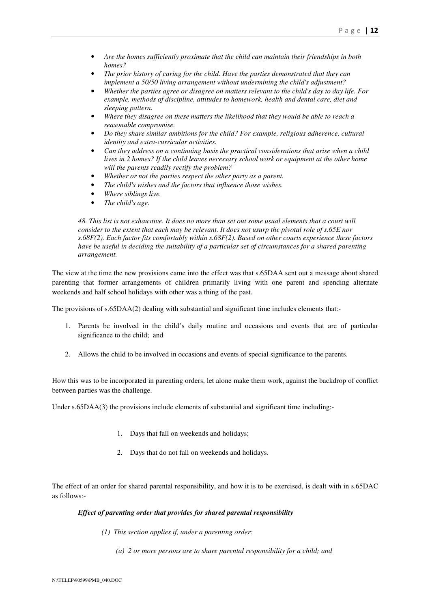- *Are the homes sufficiently proximate that the child can maintain their friendships in both homes?*
- *The prior history of caring for the child. Have the parties demonstrated that they can implement a 50/50 living arrangement without undermining the child's adjustment?*
- *Whether the parties agree or disagree on matters relevant to the child's day to day life. For example, methods of discipline, attitudes to homework, health and dental care, diet and sleeping pattern.*
- *Where they disagree on these matters the likelihood that they would be able to reach a reasonable compromise.*
- *Do they share similar ambitions for the child? For example, religious adherence, cultural identity and extra-curricular activities.*
- *Can they address on a continuing basis the practical considerations that arise when a child lives in 2 homes? If the child leaves necessary school work or equipment at the other home will the parents readily rectify the problem?*
- *Whether or not the parties respect the other party as a parent.*
- *The child's wishes and the factors that influence those wishes.*
- *Where siblings live.*
- *The child's age.*

*48. This list is not exhaustive. It does no more than set out some usual elements that a court will consider to the extent that each may be relevant. It does not usurp the pivotal role of s.65E nor s.68F(2). Each factor fits comfortably within s.68F(2). Based on other courts experience these factors have be useful in deciding the suitability of a particular set of circumstances for a shared parenting arrangement.* 

The view at the time the new provisions came into the effect was that s.65DAA sent out a message about shared parenting that former arrangements of children primarily living with one parent and spending alternate weekends and half school holidays with other was a thing of the past.

The provisions of s.65DAA(2) dealing with substantial and significant time includes elements that:-

- 1. Parents be involved in the child's daily routine and occasions and events that are of particular significance to the child; and
- 2. Allows the child to be involved in occasions and events of special significance to the parents.

How this was to be incorporated in parenting orders, let alone make them work, against the backdrop of conflict between parties was the challenge.

Under s.65DAA(3) the provisions include elements of substantial and significant time including:-

- 1. Days that fall on weekends and holidays;
- 2. Days that do not fall on weekends and holidays.

The effect of an order for shared parental responsibility, and how it is to be exercised, is dealt with in s.65DAC as follows:-

#### *Effect of parenting order that provides for shared parental responsibility*

- *(1) This section applies if, under a parenting order:* 
	- *(a) 2 or more persons are to share parental responsibility for a child; and*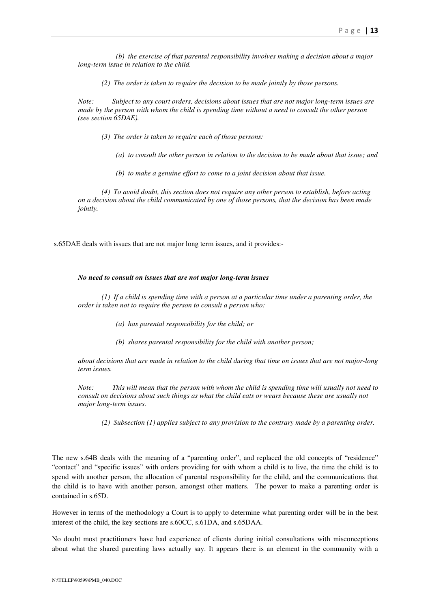*(b) the exercise of that parental responsibility involves making a decision about a major long-term issue in relation to the child.* 

 *(2) The order is taken to require the decision to be made jointly by those persons.* 

*Note: Subject to any court orders, decisions about issues that are not major long-term issues are made by the person with whom the child is spending time without a need to consult the other person (see section 65DAE).* 

- *(3) The order is taken to require each of those persons:* 
	- *(a) to consult the other person in relation to the decision to be made about that issue; and*
	- *(b) to make a genuine effort to come to a joint decision about that issue.*

 *(4) To avoid doubt, this section does not require any other person to establish, before acting on a decision about the child communicated by one of those persons, that the decision has been made jointly.* 

s.65DAE deals with issues that are not major long term issues, and it provides:-

#### *No need to consult on issues that are not major long-term issues*

 *(1) If a child is spending time with a person at a particular time under a parenting order, the order is taken not to require the person to consult a person who:* 

- *(a) has parental responsibility for the child; or*
- *(b) shares parental responsibility for the child with another person;*

*about decisions that are made in relation to the child during that time on issues that are not major-long term issues.* 

*Note: This will mean that the person with whom the child is spending time will usually not need to consult on decisions about such things as what the child eats or wears because these are usually not major long-term issues.* 

 *(2) Subsection (1) applies subject to any provision to the contrary made by a parenting order.* 

The new s.64B deals with the meaning of a "parenting order", and replaced the old concepts of "residence" "contact" and "specific issues" with orders providing for with whom a child is to live, the time the child is to spend with another person, the allocation of parental responsibility for the child, and the communications that the child is to have with another person, amongst other matters. The power to make a parenting order is contained in s.65D.

However in terms of the methodology a Court is to apply to determine what parenting order will be in the best interest of the child, the key sections are s.60CC, s.61DA, and s.65DAA.

No doubt most practitioners have had experience of clients during initial consultations with misconceptions about what the shared parenting laws actually say. It appears there is an element in the community with a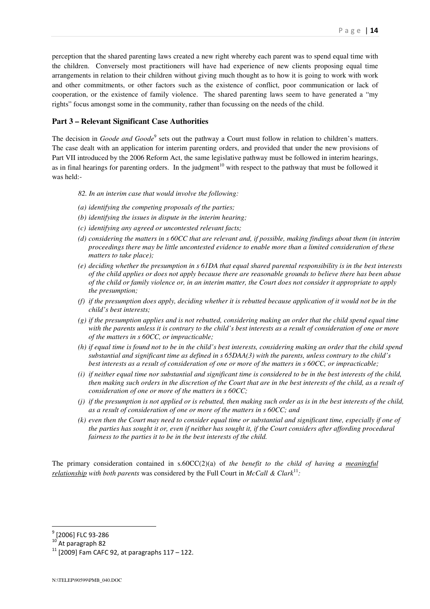perception that the shared parenting laws created a new right whereby each parent was to spend equal time with the children. Conversely most practitioners will have had experience of new clients proposing equal time arrangements in relation to their children without giving much thought as to how it is going to work with work and other commitments, or other factors such as the existence of conflict, poor communication or lack of cooperation, or the existence of family violence. The shared parenting laws seem to have generated a "my rights" focus amongst some in the community, rather than focussing on the needs of the child.

## **Part 3 – Relevant Significant Case Authorities**

The decision in *Goode and Goode*<sup>9</sup> sets out the pathway a Court must follow in relation to children's matters. The case dealt with an application for interim parenting orders, and provided that under the new provisions of Part VII introduced by the 2006 Reform Act, the same legislative pathway must be followed in interim hearings, as in final hearings for parenting orders. In the judgment<sup>10</sup> with respect to the pathway that must be followed it was held:-

- *82. In an interim case that would involve the following:*
- *(a) identifying the competing proposals of the parties;*
- *(b) identifying the issues in dispute in the interim hearing;*
- *(c) identifying any agreed or uncontested relevant facts;*
- *(d) considering the matters in s 60CC that are relevant and, if possible, making findings about them (in interim proceedings there may be little uncontested evidence to enable more than a limited consideration of these matters to take place);*
- *(e) deciding whether the presumption in s 61DA that equal shared parental responsibility is in the best interests of the child applies or does not apply because there are reasonable grounds to believe there has been abuse of the child or family violence or, in an interim matter, the Court does not consider it appropriate to apply the presumption;*
- *(f) if the presumption does apply, deciding whether it is rebutted because application of it would not be in the child's best interests;*
- *(g) if the presumption applies and is not rebutted, considering making an order that the child spend equal time with the parents unless it is contrary to the child's best interests as a result of consideration of one or more of the matters in s 60CC, or impracticable;*
- *(h) if equal time is found not to be in the child's best interests, considering making an order that the child spend substantial and significant time as defined in s 65DAA(3) with the parents, unless contrary to the child's best interests as a result of consideration of one or more of the matters in s 60CC, or impracticable;*
- *(i) if neither equal time nor substantial and significant time is considered to be in the best interests of the child, then making such orders in the discretion of the Court that are in the best interests of the child, as a result of consideration of one or more of the matters in s 60CC;*
- *(j) if the presumption is not applied or is rebutted, then making such order as is in the best interests of the child, as a result of consideration of one or more of the matters in s 60CC; and*
- *(k) even then the Court may need to consider equal time or substantial and significant time, especially if one of the parties has sought it or, even if neither has sought it, if the Court considers after affording procedural fairness to the parties it to be in the best interests of the child.*

The primary consideration contained in s.60CC(2)(a) of *the benefit to the child of having a meaningful relationship with both parents was considered by the Full Court in <i>McCall & Clark*<sup>11</sup>:

<sup>9</sup> [2006] FLC 93-286

 $^{12000}$ ,  $^{10}$ At paragraph 82

 $11$  [2009] Fam CAFC 92, at paragraphs 117 – 122.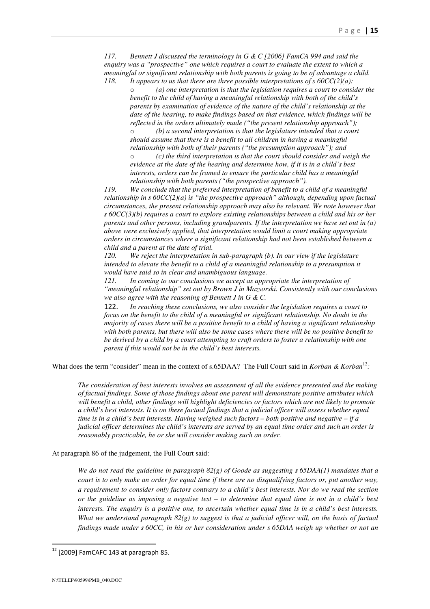*117. Bennett J discussed the terminology in G & C [2006] FamCA 994 and said the enquiry was a "prospective" one which requires a court to evaluate the extent to which a meaningful or significant relationship with both parents is going to be of advantage a child. 118. It appears to us that there are three possible interpretations of s 60CC(2)(a):* 

(a) one interpretation is that the legislation requires a court to consider the *benefit to the child of having a meaningful relationship with both of the child's parents by examination of evidence of the nature of the child's relationship at the date of the hearing, to make findings based on that evidence, which findings will be reflected in the orders ultimately made ("the present relationship approach");*  o *(b) a second interpretation is that the legislature intended that a court* 

*should assume that there is a benefit to all children in having a meaningful relationship with both of their parents ("the presumption approach"); and*  (c) the third interpretation is that the court should consider and weigh the

*evidence at the date of the hearing and determine how, if it is in a child's best interests, orders can be framed to ensure the particular child has a meaningful relationship with both parents ("the prospective approach").* 

*119. We conclude that the preferred interpretation of benefit to a child of a meaningful relationship in s 60CC(2)(a) is "the prospective approach" although, depending upon factual circumstances, the present relationship approach may also be relevant. We note however that s 60CC(3)(b) requires a court to explore existing relationships between a child and his or her parents and other persons, including grandparents. If the interpretation we have set out in (a) above were exclusively applied, that interpretation would limit a court making appropriate orders in circumstances where a significant relationship had not been established between a child and a parent at the date of trial.* 

*120. We reject the interpretation in sub-paragraph (b). In our view if the legislature*  intended to elevate the benefit to a child of a meaningful relationship to a presumption it *would have said so in clear and unambiguous language.* 

*121. In coming to our conclusions we accept as appropriate the interpretation of "meaningful relationship" set out by Brown J in Mazsorski. Consistently with our conclusions we also agree with the reasoning of Bennett J in G & C.* 

122. *In reaching these conclusions, we also consider the legislation requires a court to focus on the benefit to the child of a meaningful or significant relationship. No doubt in the majority of cases there will be a positive benefit to a child of having a significant relationship with both parents, but there will also be some cases where there will be no positive benefit to be derived by a child by a court attempting to craft orders to foster a relationship with one parent if this would not be in the child's best interests.* 

What does the term "consider" mean in the context of s.65DAA? The Full Court said in *Korban & Korban*<sup>12</sup>:

*The consideration of best interests involves an assessment of all the evidence presented and the making of factual findings. Some of those findings about one parent will demonstrate positive attributes which will benefit a child, other findings will highlight deficiencies or factors which are not likely to promote a child's best interests. It is on these factual findings that a judicial officer will assess whether equal time is in a child's best interests. Having weighed such factors – both positive and negative – if a judicial officer determines the child's interests are served by an equal time order and such an order is reasonably practicable, he or she will consider making such an order.* 

At paragraph 86 of the judgement, the Full Court said:

*We do not read the guideline in paragraph 82(g) of Goode as suggesting s 65DAA(1) mandates that a court is to only make an order for equal time if there are no disqualifying factors or, put another way, a requirement to consider only factors contrary to a child's best interests. Nor do we read the section or the guideline as imposing a negative test – to determine that equal time is not in a child's best interests. The enquiry is a positive one, to ascertain whether equal time is in a child's best interests. What we understand paragraph 82(g) to suggest is that a judicial officer will, on the basis of factual findings made under s 60CC, in his or her consideration under s 65DAA weigh up whether or not an* 

<sup>&</sup>lt;sup>12</sup> [2009] FamCAFC 143 at paragraph 85.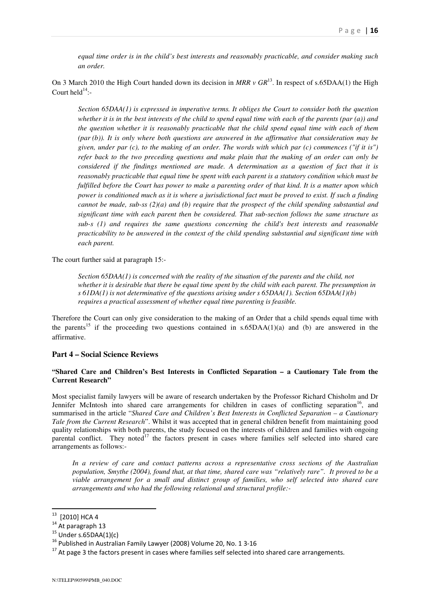*equal time order is in the child's best interests and reasonably practicable, and consider making such an order.* 

On 3 March 2010 the High Court handed down its decision in MRR v GR<sup>13</sup>. In respect of s.65DAA(1) the High Court held $^{14}$ :-

*Section 65DAA(1) is expressed in imperative terms. It obliges the Court to consider both the question whether it is in the best interests of the child to spend equal time with each of the parents (par (a)) and the question whether it is reasonably practicable that the child spend equal time with each of them (par (b)). It is only where both questions are answered in the affirmative that consideration may be given, under par (c), to the making of an order. The words with which par (c) commences ("if it is") refer back to the two preceding questions and make plain that the making of an order can only be considered if the findings mentioned are made. A determination as a question of fact that it is reasonably practicable that equal time be spent with each parent is a statutory condition which must be fulfilled before the Court has power to make a parenting order of that kind. It is a matter upon which power is conditioned much as it is where a jurisdictional fact must be proved to exist. If such a finding cannot be made, sub-ss (2)(a) and (b) require that the prospect of the child spending substantial and significant time with each parent then be considered. That sub-section follows the same structure as sub-s (1) and requires the same questions concerning the child's best interests and reasonable practicability to be answered in the context of the child spending substantial and significant time with each parent.* 

The court further said at paragraph 15:-

*Section 65DAA(1) is concerned with the reality of the situation of the parents and the child, not whether it is desirable that there be equal time spent by the child with each parent. The presumption in s 61DA(1) is not determinative of the questions arising under s 65DAA(1). Section 65DAA(1)(b) requires a practical assessment of whether equal time parenting is feasible.* 

Therefore the Court can only give consideration to the making of an Order that a child spends equal time with the parents<sup>15</sup> if the proceeding two questions contained in  $s.65DAA(1)(a)$  and (b) are answered in the affirmative.

## **Part 4 – Social Science Reviews**

## **"Shared Care and Children's Best Interests in Conflicted Separation – a Cautionary Tale from the Current Research"**

Most specialist family lawyers will be aware of research undertaken by the Professor Richard Chisholm and Dr Jennifer McIntosh into shared care arrangements for children in cases of conflicting separation<sup>16</sup>, and summarised in the article "*Shared Care and Children's Best Interests in Conflicted Separation – a Cautionary Tale from the Current Research*". Whilst it was accepted that in general children benefit from maintaining good quality relationships with both parents, the study focused on the interests of children and families with ongoing parental conflict. They noted<sup>17</sup> the factors present in cases where families self selected into shared care arrangements as follows:-

*In a review of care and contact patterns across a representative cross sections of the Australian population, Smythe (2004), found that, at that time, shared care was "relatively rare". It proved to be a viable arrangement for a small and distinct group of families, who self selected into shared care arrangements and who had the following relational and structural profile:-* 

 $13$  [2010] HCA 4

 $14$  At paragraph 13

 $15$  Under s.65DAA(1)(c)

<sup>&</sup>lt;sup>16</sup> Published in Australian Family Lawyer (2008) Volume 20, No. 1 3-16

<sup>&</sup>lt;sup>17</sup> At page 3 the factors present in cases where families self selected into shared care arrangements.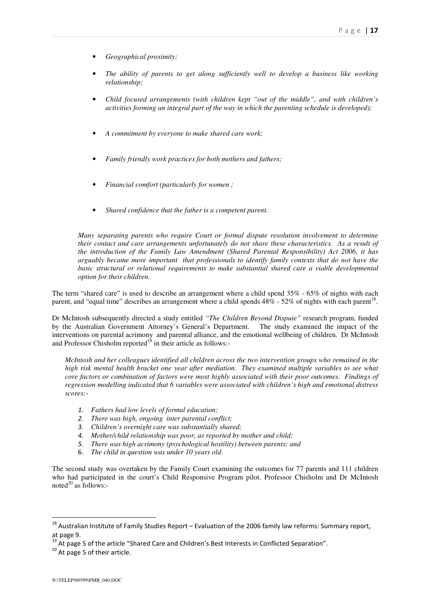- *Geographical proximity;*
- *The ability of parents to get along sufficiently well to develop a business like working relationship;*
- *Child focused arrangements (with children kept "out of the middle", and with children's activities forming an integral part of the way in which the parenting schedule is developed);*
- *A commitment by everyone to make shared care work;*
- *Family friendly work practices for both mothers and fathers;*
- *Financial comfort (particularly for women ;*
- *Shared confidence that the father is a competent parent.*

*Many separating parents who require Court or formal dispute resolution involvement to determine their contact and care arrangements unfortunately do not share these characteristics. As a result of the introduction of the Family Law Amendment (Shared Parental Responsibility) Act 2006, it has arguably became more important that professionals to identify family contexts that do not have the*  basic structural or relational requirements to make substantial shared care a viable developmental *option for their children.* 

The term "shared care" is used to describe an arrangement where a child spend 35% - 65% of nights with each parent, and "equal time" describes an arrangement where a child spends  $48\%$  - 52% of nights with each parent<sup>18</sup>.

Dr McIntosh subsequently directed a study entitled *"The Children Beyond Dispute"* research program, funded by the Australian Government Attorney's General's Department. The study examined the impact of the interventions on parental acrimony and parental alliance, and the emotional wellbeing of children. Dr McIntosh and Professor Chisholm reported $19$  in their article as follows:-

*McIntosh and her colleagues identified all children across the two intervention groups who remained in the high risk mental health bracket one year after mediation. They examined multiple variables to see what core factors or combination of factors were most highly associated with their poor outcomes. Findings of regression modelling indicated that 6 variables were associated with children's high and emotional distress scores:-* 

- 1. *Fathers had low levels of formal education;*
- 2. *There was high, ongoing inter parental conflict;*
- 3. *Children's overnight care was substantially shared;*
- 4. *Mother/child relationship was poor, as reported by mother and child;*
- 5. *There was high acrimony (psychological hostility) between parents; and*
- 6. *The child in question was under 10 years old*.

The second study was overtaken by the Family Court examining the outcomes for 77 parents and 111 children who had participated in the court's Child Responsive Program pilot. Professor Chisholm and Dr McIntosh noted $^{20}$  as follows:-

l

<sup>&</sup>lt;sup>18</sup> Australian Institute of Family Studies Report – Evaluation of the 2006 family law reforms: Summary report, at page 9.

<sup>&</sup>lt;sup>19</sup> At page 5 of the article "Shared Care and Children's Best Interests in Conflicted Separation".

<sup>&</sup>lt;sup>20</sup> At page 5 of their article.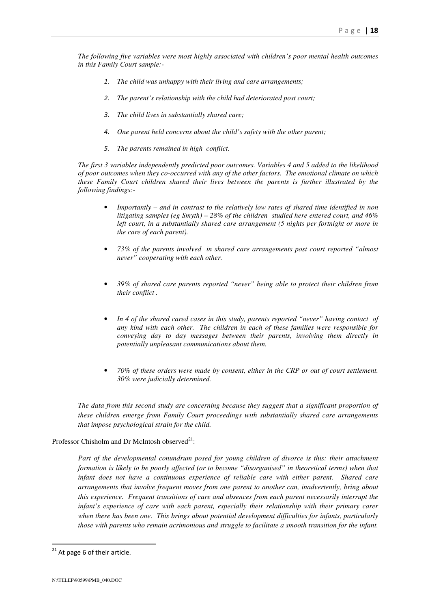*The following five variables were most highly associated with children's poor mental health outcomes in this Family Court sample:-* 

- 1. *The child was unhappy with their living and care arrangements;*
- 2. *The parent's relationship with the child had deteriorated post court;*
- 3. *The child lives in substantially shared care;*
- 4. *One parent held concerns about the child's safety with the other parent;*
- 5. *The parents remained in high conflict.*

*The first 3 variables independently predicted poor outcomes. Variables 4 and 5 added to the likelihood of poor outcomes when they co-occurred with any of the other factors. The emotional climate on which these Family Court children shared their lives between the parents is further illustrated by the following findings:-* 

- *Importantly and in contrast to the relatively low rates of shared time identified in non litigating samples (eg Smyth) – 28% of the children studied here entered court, and 46% left court, in a substantially shared care arrangement (5 nights per fortnight or more in the care of each parent).*
- *73% of the parents involved in shared care arrangements post court reported "almost never" cooperating with each other.*
- *39% of shared care parents reported "never" being able to protect their children from their conflict .*
- *In 4 of the shared cared cases in this study, parents reported "never" having contact of any kind with each other. The children in each of these families were responsible for conveying day to day messages between their parents, involving them directly in potentially unpleasant communications about them.*
- *70% of these orders were made by consent, either in the CRP or out of court settlement. 30% were judicially determined.*

*The data from this second study are concerning because they suggest that a significant proportion of these children emerge from Family Court proceedings with substantially shared care arrangements that impose psychological strain for the child.* 

## Professor Chisholm and Dr McIntosh observed $^{21}$ :

*Part of the developmental conundrum posed for young children of divorce is this: their attachment formation is likely to be poorly affected (or to become "disorganised" in theoretical terms) when that infant does not have a continuous experience of reliable care with either parent. Shared care arrangements that involve frequent moves from one parent to another can, inadvertently, bring about this experience. Frequent transitions of care and absences from each parent necessarily interrupt the infant's experience of care with each parent, especially their relationship with their primary carer when there has been one. This brings about potential development difficulties for infants, particularly those with parents who remain acrimonious and struggle to facilitate a smooth transition for the infant.* 

 $21$  At page 6 of their article.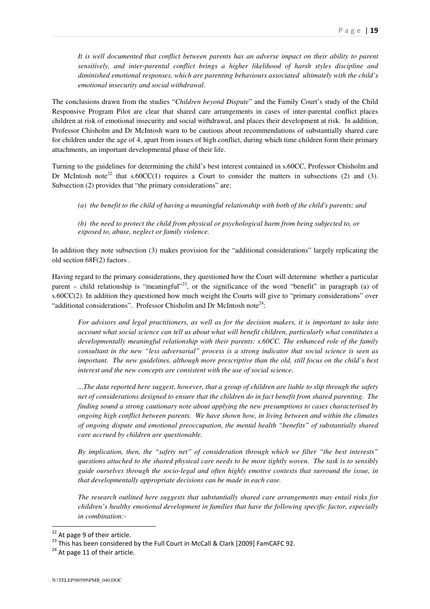*It is well documented that conflict between parents has an adverse impact on their ability to parent sensitively, and inter-parental conflict brings a higher likelihood of harsh styles discipline and diminished emotional responses, which are parenting behaviours associated ultimately with the child's emotional insecurity and social withdrawal.* 

The conclusions drawn from the studies "*Children beyond Dispute*" and the Family Court's study of the Child Responsive Program Pilot are clear that shared care arrangements in cases of inter-parental conflict places children at risk of emotional insecurity and social withdrawal, and places their development at risk. In addition, Professor Chisholm and Dr McIntosh warn to be cautious about recommendations of substantially shared care for children under the age of 4, apart from issues of high conflict, during which time children form their primary attachments, an important developmental phase of their life.

Turning to the guidelines for determining the child's best interest contained in s.60CC, Professor Chisholm and Dr McIntosh note<sup>22</sup> that s.60CC(1) requires a Court to consider the matters in subsections (2) and (3). Subsection (2) provides that "the primary considerations" are:

*(a) the benefit to the child of having a meaningful relationship with both of the child's parents; and* 

*(b) the need to protect the child from physical or psychological harm from being subjected to, or exposed to, abuse, neglect or family violence.* 

In addition they note subsection (3) makes provision for the "additional considerations" largely replicating the old section 68F(2) factors .

Having regard to the primary considerations, they questioned how the Court will determine whether a particular parent – child relationship is "meaningful"<sup>23</sup>, or the significance of the word "benefit" in paragraph (a) of s.60CC(2). In addition they questioned how much weight the Courts will give to "primary considerations" over "additional considerations". Professor Chisholm and Dr McIntosh note<sup>24</sup>:

*For advisors and legal practitioners, as well as for the decision makers, it is important to take into account what social science can tell us about what will benefit children, particularly what constitutes a developmentally meaningful relationship with their parents: s.60CC. The enhanced role of the family consultant in the new "less adversarial" process is a strong indicator that social science is seen as important. The new guidelines, although more prescriptive than the old, still focus on the child's best interest and the new concepts are consistent with the use of social science.* 

*...The data reported here suggest, however, that a group of children are liable to slip through the safety net of considerations designed to ensure that the children do in fact benefit from shared parenting. The finding sound a strong cautionary note about applying the new presumptions to cases characterised by ongoing high conflict between parents. We have shown how, in living between and within the climates of ongoing dispute and emotional preoccupation, the mental health "benefits" of substantially shared care accrued by children are questionable.* 

*By implication, then, the "safety net" of consideration through which we filter "the best interests" questions attached to the shared physical care needs to be more tightly woven. The task is to sensibly guide ourselves through the socio-legal and often highly emotive contexts that surround the issue, in that developmentally appropriate decisions can be made in each case.* 

*The research outlined here suggests that substantially shared care arrangements may entail risks for children's healthy emotional development in families that have the following specific factor, especially in combination:-* 

<sup>&</sup>lt;sup>22</sup> At page 9 of their article.

<sup>&</sup>lt;sup>23</sup> This has been considered by the Full Court in McCall & Clark [2009] FamCAFC 92.

<sup>&</sup>lt;sup>24</sup> At page 11 of their article.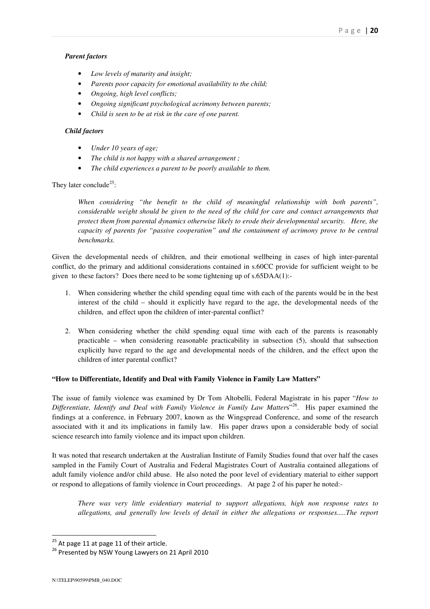## *Parent factors*

- *Low levels of maturity and insight;*
- *Parents poor capacity for emotional availability to the child;*
- *Ongoing, high level conflicts;*
- *Ongoing significant psychological acrimony between parents;*
- *Child is seen to be at risk in the care of one parent.*

## *Child factors*

- *Under 10 years of age;*
- *The child is not happy with a shared arrangement ;*
- *The child experiences a parent to be poorly available to them.*

# They later conclude<sup>25</sup>:

*When considering "the benefit to the child of meaningful relationship with both parents", considerable weight should be given to the need of the child for care and contact arrangements that protect them from parental dynamics otherwise likely to erode their developmental security. Here, the capacity of parents for "passive cooperation" and the containment of acrimony prove to be central benchmarks.* 

Given the developmental needs of children, and their emotional wellbeing in cases of high inter-parental conflict, do the primary and additional considerations contained in s.60CC provide for sufficient weight to be given to these factors? Does there need to be some tightening up of  $s.65DAA(1)$ :

- 1. When considering whether the child spending equal time with each of the parents would be in the best interest of the child – should it explicitly have regard to the age, the developmental needs of the children, and effect upon the children of inter-parental conflict?
- 2. When considering whether the child spending equal time with each of the parents is reasonably practicable – when considering reasonable practicability in subsection (5), should that subsection explicitly have regard to the age and developmental needs of the children, and the effect upon the children of inter parental conflict?

## **"How to Differentiate, Identify and Deal with Family Violence in Family Law Matters"**

The issue of family violence was examined by Dr Tom Altobelli, Federal Magistrate in his paper "*How to Differentiate, Identify and Deal with Family Violence in Family Law Matters*<sup>26</sup>. His paper examined the findings at a conference, in February 2007, known as the Wingspread Conference, and some of the research associated with it and its implications in family law. His paper draws upon a considerable body of social science research into family violence and its impact upon children.

It was noted that research undertaken at the Australian Institute of Family Studies found that over half the cases sampled in the Family Court of Australia and Federal Magistrates Court of Australia contained allegations of adult family violence and/or child abuse. He also noted the poor level of evidentiary material to either support or respond to allegations of family violence in Court proceedings. At page 2 of his paper he noted:-

*There was very little evidentiary material to support allegations, high non response rates to allegations, and generally low levels of detail in either the allegations or responses.....The report* 

l

 $^{25}$  At page 11 at page 11 of their article.

<sup>&</sup>lt;sup>26</sup> Presented by NSW Young Lawyers on 21 April 2010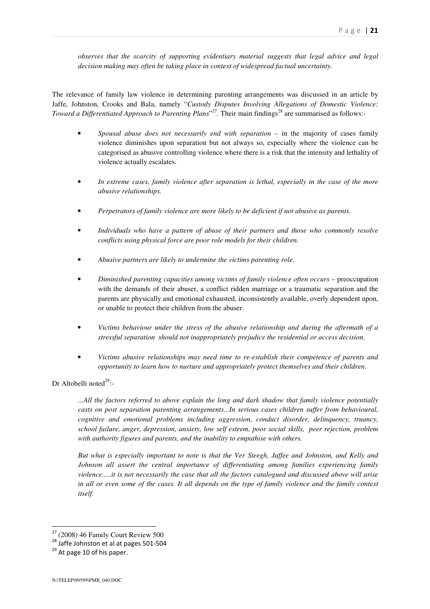*observes that the scarcity of supporting evidentiary material suggests that legal advice and legal decision making may often be taking place in context of widespread factual uncertainty.* 

The relevance of family law violence in determining parenting arrangements was discussed in an article by Jaffe, Johnston, Crooks and Bala, namely "*Custody Disputes Involving Allegations of Domestic Violence: Toward a Differentiated Approach to Parenting Plans*"<sup>27</sup>. Their main findings<sup>28</sup> are summarised as follows:-

- *Spousal abuse does not necessarily end with separation* in the majority of cases family violence diminishes upon separation but not always so, especially where the violence can be categorised as abusive controlling violence where there is a risk that the intensity and lethality of violence actually escalates.
- *In extreme cases, family violence after separation is lethal, especially in the case of the more abusive relationships.*
- *Perpetrators of family violence are more likely to be deficient if not abusive as parents*.
- *Individuals who have a pattern of abuse of their partners and those who commonly resolve conflicts using physical force are poor role models for their children.*
- *Abusive partners are likely to undermine the victims parenting role.*
- *Diminished parenting capacities among victims of family violence often occurs* preoccupation with the demands of their abuser, a conflict ridden marriage or a traumatic separation and the parents are physically and emotional exhausted, inconsistently available, overly dependent upon, or unable to protect their children from the abuser.
- *Victims behaviour under the stress of the abusive relationship and during the aftermath of a stressful separation should not inappropriately prejudice the residential or access decision.*
- *Victims abusive relationships may need time to re-establish their competence of parents and opportunity to learn how to nurture and appropriately protect themselves and their children*.

Dr Altobelli noted $29$ :-

*...All the factors referred to above explain the long and dark shadow that family violence potentially casts on post separation parenting arrangements...In serious cases children suffer from behavioural, cognitive and emotional problems including aggression, conduct disorder, delinquency, truancy, school failure, anger, depression, anxiety, low self esteem, poor social skills, peer rejection, problem with authority figures and parents, and the inability to empathise with others.* 

*But what is especially important to note is that the Ver Steegh, Jaffee and Johnston, and Kelly and Johnson all assert the central importance of differentiating among families experiencing family violence.....it is not necessarily the case that all the factors catalogued and discussed above will arise in all or even some of the cases. It all depends on the type of family violence and the family context itself.* 

 $27$  (2008) 46 Family Court Review 500

 $^{28}$  Jaffe Johnston et al at pages 501-504

 $29$  At page 10 of his paper.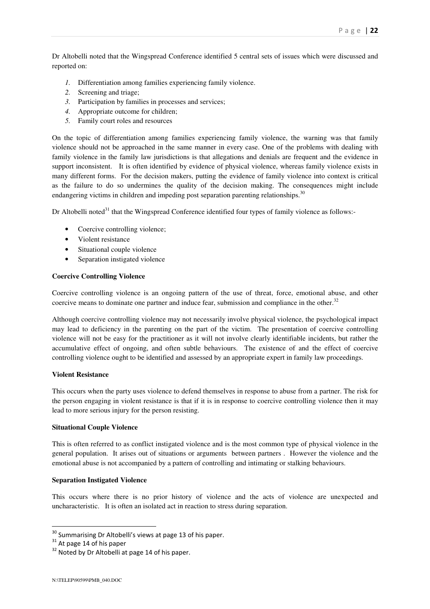Dr Altobelli noted that the Wingspread Conference identified 5 central sets of issues which were discussed and reported on:

- *1.* Differentiation among families experiencing family violence.
- *2.* Screening and triage;
- *3.* Participation by families in processes and services;
- *4.* Appropriate outcome for children;
- *5.* Family court roles and resources

On the topic of differentiation among families experiencing family violence, the warning was that family violence should not be approached in the same manner in every case. One of the problems with dealing with family violence in the family law jurisdictions is that allegations and denials are frequent and the evidence in support inconsistent. It is often identified by evidence of physical violence, whereas family violence exists in many different forms. For the decision makers, putting the evidence of family violence into context is critical as the failure to do so undermines the quality of the decision making. The consequences might include endangering victims in children and impeding post separation parenting relationships.<sup>30</sup>

Dr Altobelli noted $31$  that the Wingspread Conference identified four types of family violence as follows:-

- Coercive controlling violence;
- Violent resistance
- Situational couple violence
- Separation instigated violence

## **Coercive Controlling Violence**

Coercive controlling violence is an ongoing pattern of the use of threat, force, emotional abuse, and other coercive means to dominate one partner and induce fear, submission and compliance in the other. $32$ 

Although coercive controlling violence may not necessarily involve physical violence, the psychological impact may lead to deficiency in the parenting on the part of the victim. The presentation of coercive controlling violence will not be easy for the practitioner as it will not involve clearly identifiable incidents, but rather the accumulative effect of ongoing, and often subtle behaviours. The existence of and the effect of coercive controlling violence ought to be identified and assessed by an appropriate expert in family law proceedings.

#### **Violent Resistance**

This occurs when the party uses violence to defend themselves in response to abuse from a partner. The risk for the person engaging in violent resistance is that if it is in response to coercive controlling violence then it may lead to more serious injury for the person resisting.

#### **Situational Couple Violence**

This is often referred to as conflict instigated violence and is the most common type of physical violence in the general population. It arises out of situations or arguments between partners . However the violence and the emotional abuse is not accompanied by a pattern of controlling and intimating or stalking behaviours.

## **Separation Instigated Violence**

This occurs where there is no prior history of violence and the acts of violence are unexpected and uncharacteristic. It is often an isolated act in reaction to stress during separation.

<sup>&</sup>lt;sup>30</sup> Summarising Dr Altobelli's views at page 13 of his paper.

<sup>&</sup>lt;sup>31</sup> At page 14 of his paper

<sup>&</sup>lt;sup>32</sup> Noted by Dr Altobelli at page 14 of his paper.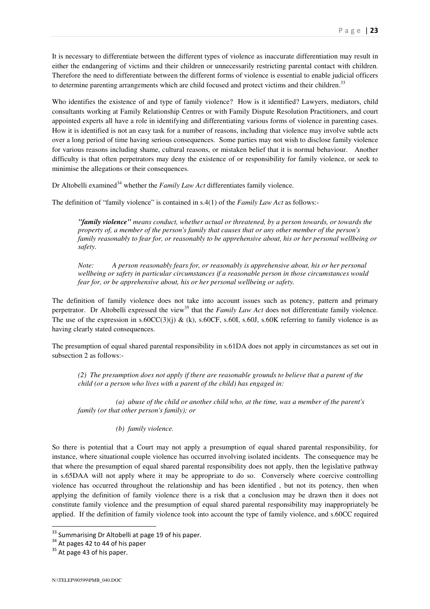It is necessary to differentiate between the different types of violence as inaccurate differentiation may result in either the endangering of victims and their children or unnecessarily restricting parental contact with children. Therefore the need to differentiate between the different forms of violence is essential to enable judicial officers to determine parenting arrangements which are child focused and protect victims and their children.<sup>33</sup>

Who identifies the existence of and type of family violence? How is it identified? Lawyers, mediators, child consultants working at Family Relationship Centres or with Family Dispute Resolution Practitioners, and court appointed experts all have a role in identifying and differentiating various forms of violence in parenting cases. How it is identified is not an easy task for a number of reasons, including that violence may involve subtle acts over a long period of time having serious consequences. Some parties may not wish to disclose family violence for various reasons including shame, cultural reasons, or mistaken belief that it is normal behaviour. Another difficulty is that often perpetrators may deny the existence of or responsibility for family violence, or seek to minimise the allegations or their consequences.

Dr Altobelli examined<sup>34</sup> whether the *Family Law Act* differentiates family violence.

The definition of "family violence" is contained in s.4(1) of the *Family Law Act* as follows:-

*"family violence" means conduct, whether actual or threatened, by a person towards, or towards the property of, a member of the person's family that causes that or any other member of the person's family reasonably to fear for, or reasonably to be apprehensive about, his or her personal wellbeing or safety.* 

*Note: A person reasonably fears for, or reasonably is apprehensive about, his or her personal wellbeing or safety in particular circumstances if a reasonable person in those circumstances would fear for, or be apprehensive about, his or her personal wellbeing or safety.* 

The definition of family violence does not take into account issues such as potency, pattern and primary perpetrator. Dr Altobelli expressed the view<sup>35</sup> that the *Family Law Act* does not differentiate family violence. The use of the expression in s.60CC(3)(j) & (k), s.60CF, s.60I, s.60J, s.60K referring to family violence is as having clearly stated consequences.

The presumption of equal shared parental responsibility in s.61DA does not apply in circumstances as set out in subsection 2 as follows:-

*(2) The presumption does not apply if there are reasonable grounds to believe that a parent of the child (or a person who lives with a parent of the child) has engaged in:* 

 *(a) abuse of the child or another child who, at the time, was a member of the parent's family (or that other person's family); or* 

#### *(b) family violence.*

So there is potential that a Court may not apply a presumption of equal shared parental responsibility, for instance, where situational couple violence has occurred involving isolated incidents. The consequence may be that where the presumption of equal shared parental responsibility does not apply, then the legislative pathway in s.65DAA will not apply where it may be appropriate to do so. Conversely where coercive controlling violence has occurred throughout the relationship and has been identified , but not its potency, then when applying the definition of family violence there is a risk that a conclusion may be drawn then it does not constitute family violence and the presumption of equal shared parental responsibility may inappropriately be applied. If the definition of family violence took into account the type of family violence, and s.60CC required

<sup>&</sup>lt;sup>33</sup> Summarising Dr Altobelli at page 19 of his paper.

<sup>&</sup>lt;sup>34</sup> At pages 42 to 44 of his paper

 $35$  At page 43 of his paper.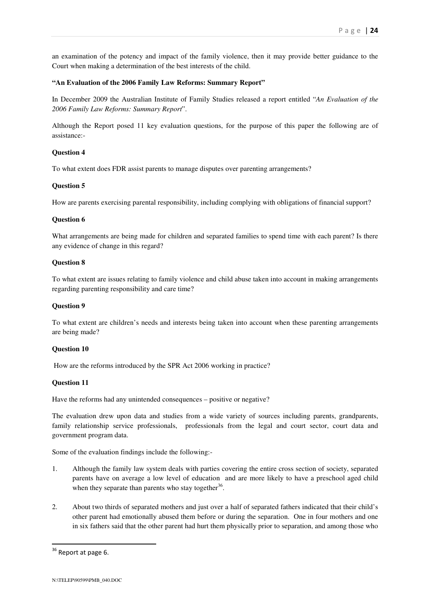an examination of the potency and impact of the family violence, then it may provide better guidance to the Court when making a determination of the best interests of the child.

## **"An Evaluation of the 2006 Family Law Reforms: Summary Report"**

In December 2009 the Australian Institute of Family Studies released a report entitled "*An Evaluation of the 2006 Family Law Reforms: Summary Report*".

Although the Report posed 11 key evaluation questions, for the purpose of this paper the following are of assistance:-

#### **Question 4**

To what extent does FDR assist parents to manage disputes over parenting arrangements?

## **Question 5**

How are parents exercising parental responsibility, including complying with obligations of financial support?

#### **Question 6**

What arrangements are being made for children and separated families to spend time with each parent? Is there any evidence of change in this regard?

#### **Question 8**

To what extent are issues relating to family violence and child abuse taken into account in making arrangements regarding parenting responsibility and care time?

## **Question 9**

To what extent are children's needs and interests being taken into account when these parenting arrangements are being made?

## **Question 10**

How are the reforms introduced by the SPR Act 2006 working in practice?

## **Question 11**

Have the reforms had any unintended consequences – positive or negative?

The evaluation drew upon data and studies from a wide variety of sources including parents, grandparents, family relationship service professionals, professionals from the legal and court sector, court data and government program data.

Some of the evaluation findings include the following:-

- 1. Although the family law system deals with parties covering the entire cross section of society, separated parents have on average a low level of education and are more likely to have a preschool aged child when they separate than parents who stay together  $36$ .
- 2. About two thirds of separated mothers and just over a half of separated fathers indicated that their child's other parent had emotionally abused them before or during the separation. One in four mothers and one in six fathers said that the other parent had hurt them physically prior to separation, and among those who

<sup>&</sup>lt;sup>36</sup> Report at page 6.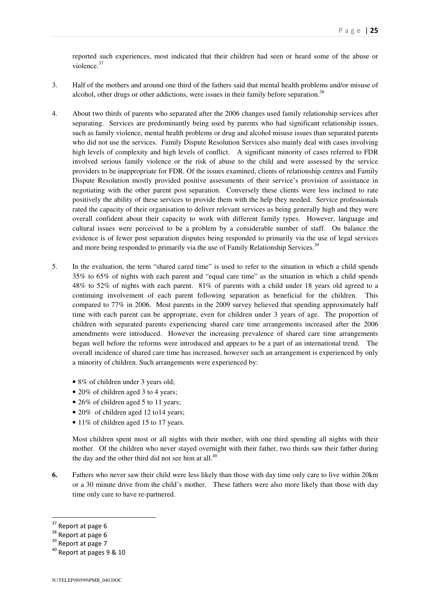reported such experiences, most indicated that their children had seen or heard some of the abuse or violence.<sup>37</sup>

- 3. Half of the mothers and around one third of the fathers said that mental health problems and/or misuse of alcohol, other drugs or other addictions, were issues in their family before separation.<sup>38</sup>
- 4. About two thirds of parents who separated after the 2006 changes used family relationship services after separating. Services are predominantly being used by parents who had significant relationship issues, such as family violence, mental health problems or drug and alcohol misuse issues than separated parents who did not use the services. Family Dispute Resolution Services also mainly deal with cases involving high levels of complexity and high levels of conflict. A significant minority of cases referred to FDR involved serious family violence or the risk of abuse to the child and were assessed by the service providers to be inappropriate for FDR. Of the issues examined, clients of relationship centres and Family Dispute Resolution mostly provided positive assessments of their service's provision of assistance in negotiating with the other parent post separation. Conversely these clients were less inclined to rate positively the ability of these services to provide them with the help they needed. Service professionals rated the capacity of their organisation to deliver relevant services as being generally high and they were overall confident about their capacity to work with different family types. However, language and cultural issues were perceived to be a problem by a considerable number of staff. On balance the evidence is of fewer post separation disputes being responded to primarily via the use of legal services and more being responded to primarily via the use of Family Relationship Services.<sup>39</sup>
- 5. In the evaluation, the term "shared cared time" is used to refer to the situation in which a child spends 35% to 65% of nights with each parent and "equal care time" as the situation in which a child spends 48% to 52% of nights with each parent. 81% of parents with a child under 18 years old agreed to a continuing involvement of each parent following separation as beneficial for the children. This compared to 77% in 2006. Most parents in the 2009 survey believed that spending approximately half time with each parent can be appropriate, even for children under 3 years of age. The proportion of children with separated parents experiencing shared care time arrangements increased after the 2006 amendments were introduced. However the increasing prevalence of shared care time arrangements began well before the reforms were introduced and appears to be a part of an international trend. The overall incidence of shared care time has increased, however such an arrangement is experienced by only a minority of children. Such arrangements were experienced by:
	- 8% of children under 3 years old;
	- 20% of children aged 3 to 4 years;
	- 26% of children aged 5 to 11 years;
	- 20% of children aged 12 to 14 years;
	- 11% of children aged 15 to 17 years.

 Most children spent most or all nights with their mother, with one third spending all nights with their mother. Of the children who never stayed overnight with their father, two thirds saw their father during the day and the other third did not see him at all. $40$ 

**6.** Fathers who never saw their child were less likely than those with day time only care to live within 20km or a 30 minute drive from the child's mother. These fathers were also more likely than those with day time only care to have re-partnered.

l

<sup>&</sup>lt;sup>37</sup> Report at page 6

<sup>&</sup>lt;sup>38</sup> Report at page 6

<sup>&</sup>lt;sup>39</sup> Report at page 7

<sup>40</sup> Report at pages 9 & 10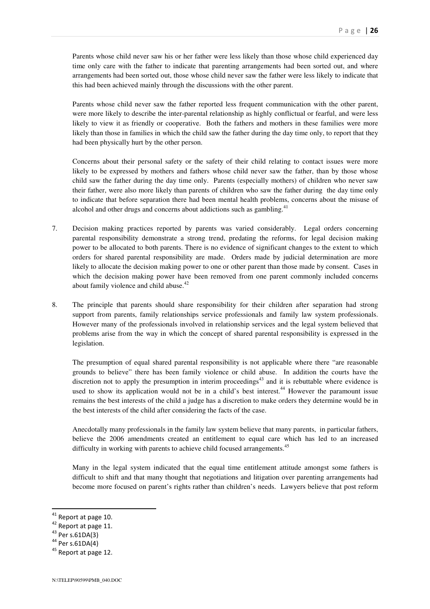Parents whose child never saw his or her father were less likely than those whose child experienced day time only care with the father to indicate that parenting arrangements had been sorted out, and where arrangements had been sorted out, those whose child never saw the father were less likely to indicate that this had been achieved mainly through the discussions with the other parent.

Parents whose child never saw the father reported less frequent communication with the other parent, were more likely to describe the inter-parental relationship as highly conflictual or fearful, and were less likely to view it as friendly or cooperative. Both the fathers and mothers in these families were more likely than those in families in which the child saw the father during the day time only, to report that they had been physically hurt by the other person.

Concerns about their personal safety or the safety of their child relating to contact issues were more likely to be expressed by mothers and fathers whose child never saw the father, than by those whose child saw the father during the day time only. Parents (especially mothers) of children who never saw their father, were also more likely than parents of children who saw the father during the day time only to indicate that before separation there had been mental health problems, concerns about the misuse of alcohol and other drugs and concerns about addictions such as gambling.<sup>41</sup>

- 7. Decision making practices reported by parents was varied considerably. Legal orders concerning parental responsibility demonstrate a strong trend, predating the reforms, for legal decision making power to be allocated to both parents. There is no evidence of significant changes to the extent to which orders for shared parental responsibility are made. Orders made by judicial determination are more likely to allocate the decision making power to one or other parent than those made by consent. Cases in which the decision making power have been removed from one parent commonly included concerns about family violence and child abuse.<sup>42</sup>
- 8. The principle that parents should share responsibility for their children after separation had strong support from parents, family relationships service professionals and family law system professionals. However many of the professionals involved in relationship services and the legal system believed that problems arise from the way in which the concept of shared parental responsibility is expressed in the legislation.

The presumption of equal shared parental responsibility is not applicable where there "are reasonable grounds to believe" there has been family violence or child abuse. In addition the courts have the discretion not to apply the presumption in interim proceedings $43$  and it is rebuttable where evidence is used to show its application would not be in a child's best interest.<sup>44</sup> However the paramount issue remains the best interests of the child a judge has a discretion to make orders they determine would be in the best interests of the child after considering the facts of the case.

Anecdotally many professionals in the family law system believe that many parents, in particular fathers, believe the 2006 amendments created an entitlement to equal care which has led to an increased difficulty in working with parents to achieve child focused arrangements.<sup>45</sup>

Many in the legal system indicated that the equal time entitlement attitude amongst some fathers is difficult to shift and that many thought that negotiations and litigation over parenting arrangements had become more focused on parent's rights rather than children's needs. Lawyers believe that post reform

 $41$  Report at page 10.

<sup>&</sup>lt;sup>42</sup> Report at page 11.

<sup>43</sup> Per s.61DA(3)

<sup>44</sup> Per s.61DA(4)

<sup>&</sup>lt;sup>45</sup> Report at page 12.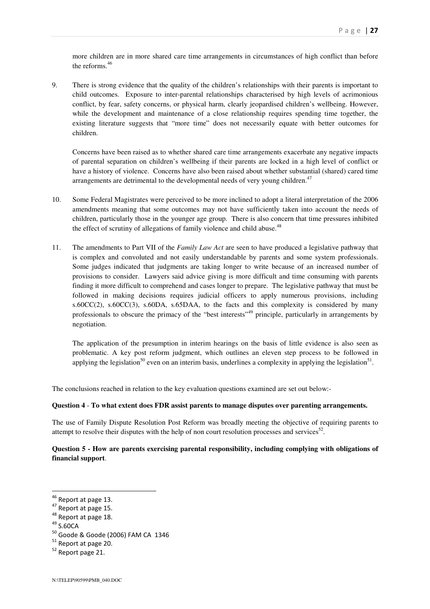more children are in more shared care time arrangements in circumstances of high conflict than before the reforms.<sup>46</sup>

9. There is strong evidence that the quality of the children's relationships with their parents is important to child outcomes. Exposure to inter-parental relationships characterised by high levels of acrimonious conflict, by fear, safety concerns, or physical harm, clearly jeopardised children's wellbeing. However, while the development and maintenance of a close relationship requires spending time together, the existing literature suggests that "more time" does not necessarily equate with better outcomes for children.

Concerns have been raised as to whether shared care time arrangements exacerbate any negative impacts of parental separation on children's wellbeing if their parents are locked in a high level of conflict or have a history of violence. Concerns have also been raised about whether substantial (shared) cared time arrangements are detrimental to the developmental needs of very young children.<sup>47</sup>

- 10. Some Federal Magistrates were perceived to be more inclined to adopt a literal interpretation of the 2006 amendments meaning that some outcomes may not have sufficiently taken into account the needs of children, particularly those in the younger age group. There is also concern that time pressures inhibited the effect of scrutiny of allegations of family violence and child abuse.<sup>48</sup>
- 11. The amendments to Part VII of the *Family Law Act* are seen to have produced a legislative pathway that is complex and convoluted and not easily understandable by parents and some system professionals. Some judges indicated that judgments are taking longer to write because of an increased number of provisions to consider. Lawyers said advice giving is more difficult and time consuming with parents finding it more difficult to comprehend and cases longer to prepare. The legislative pathway that must be followed in making decisions requires judicial officers to apply numerous provisions, including s.60CC(2), s.60CC(3), s.60DA, s.65DAA, to the facts and this complexity is considered by many professionals to obscure the primacy of the "best interests"<sup>49</sup> principle, particularly in arrangements by negotiation.

The application of the presumption in interim hearings on the basis of little evidence is also seen as problematic. A key post reform judgment, which outlines an eleven step process to be followed in applying the legislation<sup>50</sup> even on an interim basis, underlines a complexity in applying the legislation<sup>51</sup>.

The conclusions reached in relation to the key evaluation questions examined are set out below:-

#### **Question 4** - **To what extent does FDR assist parents to manage disputes over parenting arrangements.**

The use of Family Dispute Resolution Post Reform was broadly meeting the objective of requiring parents to attempt to resolve their disputes with the help of non court resolution processes and services $^{52}$ .

**Question 5 - How are parents exercising parental responsibility, including complying with obligations of financial support**.

<sup>&</sup>lt;sup>46</sup> Report at page 13.

<sup>&</sup>lt;sup>47</sup> Report at page 15.

<sup>&</sup>lt;sup>48</sup> Report at page 18.

<sup>49</sup> S.60CA

<sup>50</sup> Goode & Goode (2006) FAM CA 1346

<sup>51</sup> Report at page 20.

<sup>52</sup> Report page 21.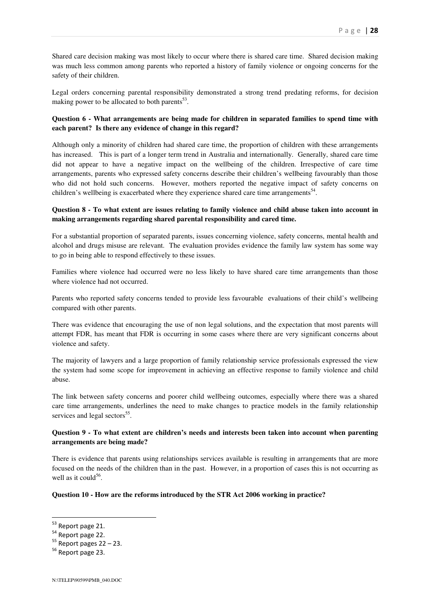Shared care decision making was most likely to occur where there is shared care time. Shared decision making was much less common among parents who reported a history of family violence or ongoing concerns for the safety of their children.

Legal orders concerning parental responsibility demonstrated a strong trend predating reforms, for decision making power to be allocated to both parents<sup>53</sup>.

# **Question 6 - What arrangements are being made for children in separated families to spend time with each parent? Is there any evidence of change in this regard?**

Although only a minority of children had shared care time, the proportion of children with these arrangements has increased. This is part of a longer term trend in Australia and internationally. Generally, shared care time did not appear to have a negative impact on the wellbeing of the children. Irrespective of care time arrangements, parents who expressed safety concerns describe their children's wellbeing favourably than those who did not hold such concerns. However, mothers reported the negative impact of safety concerns on children's wellbeing is exacerbated where they experience shared care time arrangements $54$ .

# **Question 8 - To what extent are issues relating to family violence and child abuse taken into account in making arrangements regarding shared parental responsibility and cared time.**

For a substantial proportion of separated parents, issues concerning violence, safety concerns, mental health and alcohol and drugs misuse are relevant. The evaluation provides evidence the family law system has some way to go in being able to respond effectively to these issues.

Families where violence had occurred were no less likely to have shared care time arrangements than those where violence had not occurred.

Parents who reported safety concerns tended to provide less favourable evaluations of their child's wellbeing compared with other parents.

There was evidence that encouraging the use of non legal solutions, and the expectation that most parents will attempt FDR, has meant that FDR is occurring in some cases where there are very significant concerns about violence and safety.

The majority of lawyers and a large proportion of family relationship service professionals expressed the view the system had some scope for improvement in achieving an effective response to family violence and child abuse.

The link between safety concerns and poorer child wellbeing outcomes, especially where there was a shared care time arrangements, underlines the need to make changes to practice models in the family relationship services and legal sectors<sup>55</sup>.

# **Question 9 - To what extent are children's needs and interests been taken into account when parenting arrangements are being made?**

There is evidence that parents using relationships services available is resulting in arrangements that are more focused on the needs of the children than in the past. However, in a proportion of cases this is not occurring as well as it could<sup>56</sup>.

**Question 10 - How are the reforms introduced by the STR Act 2006 working in practice?** 

l

<sup>&</sup>lt;sup>53</sup> Report page 21.

<sup>&</sup>lt;sup>54</sup> Report page 22.

 $55$  Report pages 22 – 23.

<sup>&</sup>lt;sup>56</sup> Report page 23.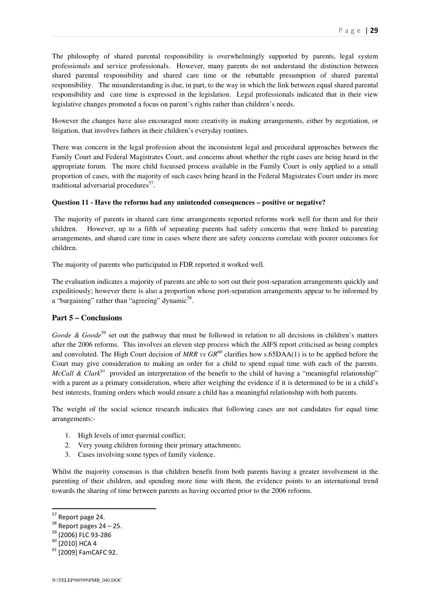The philosophy of shared parental responsibility is overwhelmingly supported by parents, legal system professionals and service professionals. However, many parents do not understand the distinction between shared parental responsibility and shared care time or the rebuttable presumption of shared parental responsibility. The misunderstanding is due, in part, to the way in which the link between equal shared parental responsibility and care time is expressed in the legislation. Legal professionals indicated that in their view legislative changes promoted a focus on parent's rights rather than children's needs.

However the changes have also encouraged more creativity in making arrangements, either by negotiation, or litigation, that involves fathers in their children's everyday routines.

There was concern in the legal profession about the inconsistent legal and procedural approaches between the Family Court and Federal Magistrates Court, and concerns about whether the right cases are being heard in the appropriate forum. The more child focussed process available in the Family Court is only applied to a small proportion of cases, with the majority of such cases being heard in the Federal Magistrates Court under its more traditional adversarial procedures<sup>57</sup>.

#### **Question 11 - Have the reforms had any unintended consequences – positive or negative?**

 The majority of parents in shared care time arrangements reported reforms work well for them and for their children. However, up to a fifth of separating parents had safety concerns that were linked to parenting arrangements, and shared care time in cases where there are safety concerns correlate with poorer outcomes for children.

The majority of parents who participated in FDR reported it worked well.

The evaluation indicates a majority of parents are able to sort out their post-separation arrangements quickly and expeditiously; however there is also a proportion whose port-separation arrangements appear to be informed by a "bargaining" rather than "agreeing" dynamic<sup>58</sup>.

## **Part 5 – Conclusions**

*Goode & Goode*<sup>59</sup> set out the pathway that must be followed in relation to all decisions in children's matters after the 2006 reforms. This involves an eleven step process which the AIFS report criticised as being complex and convoluted. The High Court decision of *MRR vs GR*<sup>60</sup> clarifies how s.65DAA(1) is to be applied before the Court may give consideration to making an order for a child to spend equal time with each of the parents. *McCall & Clark*<sup>61</sup> provided an interpretation of the benefit to the child of having a "meaningful relationship" with a parent as a primary consideration, where after weighing the evidence if it is determined to be in a child's best interests, framing orders which would ensure a child has a meaningful relationship with both parents.

The weight of the social science research indicates that following cases are not candidates for equal time arrangements:-

- 1. High levels of inter-parental conflict;
- 2. Very young children forming their primary attachments;
- 3. Cases involving some types of family violence.

Whilst the majority consensus is that children benefit from both parents having a greater involvement in the parenting of their children, and spending more time with them, the evidence points to an international trend towards the sharing of time between parents as having occurred prior to the 2006 reforms.

<sup>&</sup>lt;sup>57</sup> Report page 24.

 $58$  Report pages 24 – 25.

<sup>59</sup> (2006) FLC 93-286

 $60$  [2010] HCA 4

<sup>61</sup> [2009] FamCAFC 92.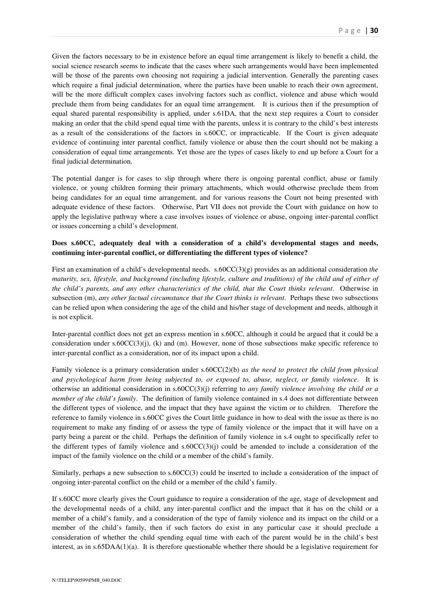Given the factors necessary to be in existence before an equal time arrangement is likely to benefit a child, the social science research seems to indicate that the cases where such arrangements would have been implemented will be those of the parents own choosing not requiring a judicial intervention. Generally the parenting cases which require a final judicial determination, where the parties have been unable to reach their own agreement, will be the more difficult complex cases involving factors such as conflict, violence and abuse which would preclude them from being candidates for an equal time arrangement. It is curious then if the presumption of equal shared parental responsibility is applied, under s.61DA, that the next step requires a Court to consider making an order that the child spend equal time with the parents, unless it is contrary to the child's best interests as a result of the considerations of the factors in s.60CC, or impracticable. If the Court is given adequate evidence of continuing inter parental conflict, family violence or abuse then the court should not be making a consideration of equal time arrangements. Yet those are the types of cases likely to end up before a Court for a final judicial determination.

The potential danger is for cases to slip through where there is ongoing parental conflict, abuse or family violence, or young children forming their primary attachments, which would otherwise preclude them from being candidates for an equal time arrangement, and for various reasons the Court not being presented with adequate evidence of these factors. Otherwise, Part VII does not provide the Court with guidance on how to apply the legislative pathway where a case involves issues of violence or abuse, ongoing inter-parental conflict or issues concerning a child's development.

## **Does s.60CC, adequately deal with a consideration of a child's developmental stages and needs, continuing inter-parental conflict, or differentiating the different types of violence?**

First an examination of a child's developmental needs. s.60CC(3)(g) provides as an additional consideration *the maturity, sex, lifestyle, and background (including lifestyle, culture and traditions) of the child and of either of the child's parents, and any other characteristics of the child, that the Court thinks relevant*. Otherwise in subsection (m), *any other factual circumstance that the Court thinks is relevant*. Perhaps these two subsections can be relied upon when considering the age of the child and his/her stage of development and needs, although it is not explicit.

Inter-parental conflict does not get an express mention in s.60CC, although it could be argued that it could be a consideration under s.60CC(3)(j), (k) and (m). However, none of those subsections make specific reference to inter-parental conflict as a consideration, nor of its impact upon a child.

Family violence is a primary consideration under s.60CC(2)(b) *as the need to protect the child from physical and psychological harm from being subjected to, or exposed to, abuse, neglect, or family violence*. It is otherwise an additional consideration in s.60CC(3)(j) referring to *any family violence involving the child or a member of the child's family*. The definition of family violence contained in s.4 does not differentiate between the different types of violence, and the impact that they have against the victim or to children. Therefore the reference to family violence in s.60CC gives the Court little guidance in how to deal with the issue as there is no requirement to make any finding of or assess the type of family violence or the impact that it will have on a party being a parent or the child. Perhaps the definition of family violence in s.4 ought to specifically refer to the different types of family violence and  $s.60CC(3)(i)$  could be amended to include a consideration of the impact of the family violence on the child or a member of the child's family.

Similarly, perhaps a new subsection to s.60CC(3) could be inserted to include a consideration of the impact of ongoing inter-parental conflict on the child or a member of the child's family.

If s.60CC more clearly gives the Court guidance to require a consideration of the age, stage of development and the developmental needs of a child, any inter-parental conflict and the impact that it has on the child or a member of a child's family, and a consideration of the type of family violence and its impact on the child or a member of the child's family, then if such factors do exist in any particular case it should preclude a consideration of whether the child spending equal time with each of the parent would be in the child's best interest, as in  $s.65DAA(1)(a)$ . It is therefore questionable whether there should be a legislative requirement for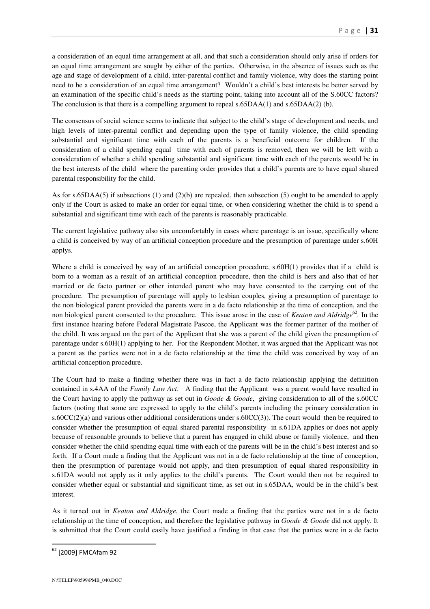a consideration of an equal time arrangement at all, and that such a consideration should only arise if orders for an equal time arrangement are sought by either of the parties. Otherwise, in the absence of issues such as the age and stage of development of a child, inter-parental conflict and family violence, why does the starting point need to be a consideration of an equal time arrangement? Wouldn't a child's best interests be better served by an examination of the specific child's needs as the starting point, taking into account all of the S.60CC factors? The conclusion is that there is a compelling argument to repeal  $s.65DAA(1)$  and  $s.65DAA(2)$  (b).

The consensus of social science seems to indicate that subject to the child's stage of development and needs, and high levels of inter-parental conflict and depending upon the type of family violence, the child spending substantial and significant time with each of the parents is a beneficial outcome for children. If the consideration of a child spending equal time with each of parents is removed, then we will be left with a consideration of whether a child spending substantial and significant time with each of the parents would be in the best interests of the child where the parenting order provides that a child's parents are to have equal shared parental responsibility for the child.

As for s.65DAA(5) if subsections (1) and (2)(b) are repealed, then subsection (5) ought to be amended to apply only if the Court is asked to make an order for equal time, or when considering whether the child is to spend a substantial and significant time with each of the parents is reasonably practicable.

The current legislative pathway also sits uncomfortably in cases where parentage is an issue, specifically where a child is conceived by way of an artificial conception procedure and the presumption of parentage under s.60H applys.

Where a child is conceived by way of an artificial conception procedure, s.60H(1) provides that if a child is born to a woman as a result of an artificial conception procedure, then the child is hers and also that of her married or de facto partner or other intended parent who may have consented to the carrying out of the procedure. The presumption of parentage will apply to lesbian couples, giving a presumption of parentage to the non biological parent provided the parents were in a de facto relationship at the time of conception, and the non biological parent consented to the procedure. This issue arose in the case of *Keaton and Aldridge*<sup>62</sup>. In the first instance hearing before Federal Magistrate Pascoe, the Applicant was the former partner of the mother of the child. It was argued on the part of the Applicant that she was a parent of the child given the presumption of parentage under s.60H(1) applying to her. For the Respondent Mother, it was argued that the Applicant was not a parent as the parties were not in a de facto relationship at the time the child was conceived by way of an artificial conception procedure.

The Court had to make a finding whether there was in fact a de facto relationship applying the definition contained in s.4AA of the *Family Law Act*. A finding that the Applicant was a parent would have resulted in the Court having to apply the pathway as set out in *Goode & Goode*, giving consideration to all of the s.60CC factors (noting that some are expressed to apply to the child's parents including the primary consideration in s.60 $CC(2)(a)$  and various other additional considerations under s.60 $CC(3)$ ). The court would then be required to consider whether the presumption of equal shared parental responsibility in s.61DA applies or does not apply because of reasonable grounds to believe that a parent has engaged in child abuse or family violence, and then consider whether the child spending equal time with each of the parents will be in the child's best interest and so forth. If a Court made a finding that the Applicant was not in a de facto relationship at the time of conception, then the presumption of parentage would not apply, and then presumption of equal shared responsibility in s.61DA would not apply as it only applies to the child's parents. The Court would then not be required to consider whether equal or substantial and significant time, as set out in s.65DAA, would be in the child's best interest.

As it turned out in *Keaton and Aldridge*, the Court made a finding that the parties were not in a de facto relationship at the time of conception, and therefore the legislative pathway in *Goode & Goode* did not apply. It is submitted that the Court could easily have justified a finding in that case that the parties were in a de facto

<sup>62</sup> [2009] FMCAfam 92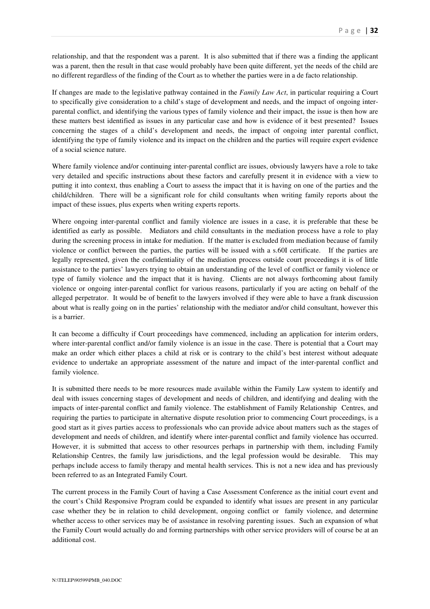relationship, and that the respondent was a parent. It is also submitted that if there was a finding the applicant was a parent, then the result in that case would probably have been quite different, yet the needs of the child are no different regardless of the finding of the Court as to whether the parties were in a de facto relationship.

If changes are made to the legislative pathway contained in the *Family Law Act*, in particular requiring a Court to specifically give consideration to a child's stage of development and needs, and the impact of ongoing interparental conflict, and identifying the various types of family violence and their impact, the issue is then how are these matters best identified as issues in any particular case and how is evidence of it best presented? Issues concerning the stages of a child's development and needs, the impact of ongoing inter parental conflict, identifying the type of family violence and its impact on the children and the parties will require expert evidence of a social science nature.

Where family violence and/or continuing inter-parental conflict are issues, obviously lawyers have a role to take very detailed and specific instructions about these factors and carefully present it in evidence with a view to putting it into context, thus enabling a Court to assess the impact that it is having on one of the parties and the child/children. There will be a significant role for child consultants when writing family reports about the impact of these issues, plus experts when writing experts reports.

Where ongoing inter-parental conflict and family violence are issues in a case, it is preferable that these be identified as early as possible. Mediators and child consultants in the mediation process have a role to play during the screening process in intake for mediation. If the matter is excluded from mediation because of family violence or conflict between the parties, the parties will be issued with a s.60I certificate. If the parties are legally represented, given the confidentiality of the mediation process outside court proceedings it is of little assistance to the parties' lawyers trying to obtain an understanding of the level of conflict or family violence or type of family violence and the impact that it is having. Clients are not always forthcoming about family violence or ongoing inter-parental conflict for various reasons, particularly if you are acting on behalf of the alleged perpetrator. It would be of benefit to the lawyers involved if they were able to have a frank discussion about what is really going on in the parties' relationship with the mediator and/or child consultant, however this is a barrier.

It can become a difficulty if Court proceedings have commenced, including an application for interim orders, where inter-parental conflict and/or family violence is an issue in the case. There is potential that a Court may make an order which either places a child at risk or is contrary to the child's best interest without adequate evidence to undertake an appropriate assessment of the nature and impact of the inter-parental conflict and family violence.

It is submitted there needs to be more resources made available within the Family Law system to identify and deal with issues concerning stages of development and needs of children, and identifying and dealing with the impacts of inter-parental conflict and family violence. The establishment of Family Relationship Centres, and requiring the parties to participate in alternative dispute resolution prior to commencing Court proceedings, is a good start as it gives parties access to professionals who can provide advice about matters such as the stages of development and needs of children, and identify where inter-parental conflict and family violence has occurred. However, it is submitted that access to other resources perhaps in partnership with them, including Family Relationship Centres, the family law jurisdictions, and the legal profession would be desirable. This may perhaps include access to family therapy and mental health services. This is not a new idea and has previously been referred to as an Integrated Family Court.

The current process in the Family Court of having a Case Assessment Conference as the initial court event and the court's Child Responsive Program could be expanded to identify what issues are present in any particular case whether they be in relation to child development, ongoing conflict or family violence, and determine whether access to other services may be of assistance in resolving parenting issues. Such an expansion of what the Family Court would actually do and forming partnerships with other service providers will of course be at an additional cost.